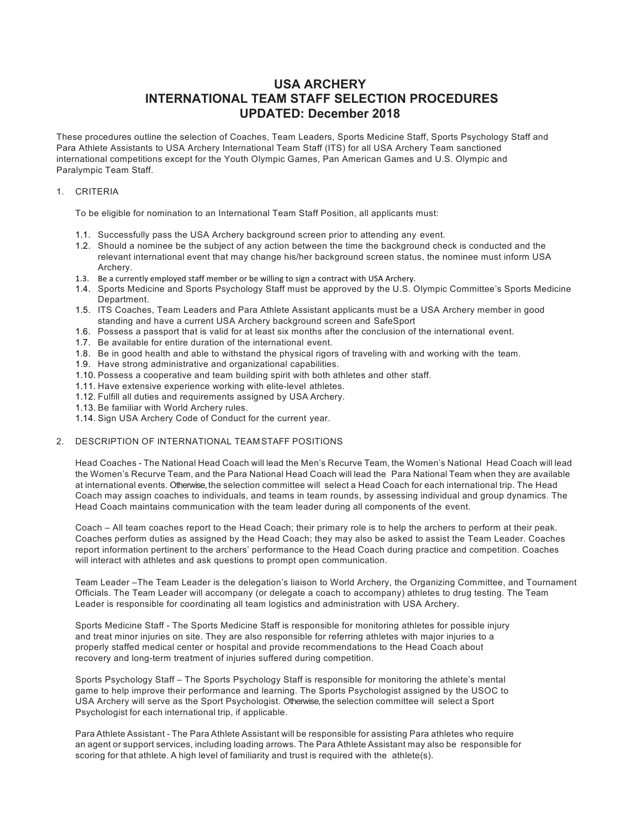# **USA ARCHERY INTERNATIONAL TEAM STAFF SELECTION PROCEDURES UPDATED: December 2018**

These procedures outline the selection of Coaches, Team Leaders, Sports Medicine Staff, Sports Psychology Staff and Para Athlete Assistants to USA Archery International Team Staff (ITS) for all USA Archery Team sanctioned international competitions except for the Youth Olympic Games, Pan American Games and U.S. Olympic and Paralympic Team Staff.

### 1. CRITERIA

To be eligible for nomination to an International Team Staff Position, all applicants must:

- 1.1. Successfully pass the USA Archery background screen prior to attending any event.
- 1.2. Should a nominee be the subject of any action between the time the background check is conducted and the relevant international event that may change his/her background screen status, the nominee must inform USA Archery.
- 1.3. Be a currently employed staff member or be willing to sign a contract with USA Archery.
- 1.4. Sports Medicine and Sports Psychology Staff must be approved by the U.S. Olympic Committee's Sports Medicine Department.
- 1.5. ITS Coaches, Team Leaders and Para Athlete Assistant applicants must be a USA Archery member in good standing and have a current USA Archery background screen and SafeSport
- 1.6. Possess a passport that is valid for at least six months after the conclusion of the international event.
- 1.7. Be available for entire duration of the international event.
- 1.8. Be in good health and able to withstand the physical rigors of traveling with and working with the team.
- 1.9. Have strong administrative and organizational capabilities.
- 1.10. Possess a cooperative and team building spirit with both athletes and other staff.
- 1.11. Have extensive experience working with elite-level athletes.
- 1.12. Fulfill all duties and requirements assigned by USA Archery.
- 1.13. Be familiar with World Archery rules.
- 1.14. Sign USA Archery Code of Conduct for the current year.

### 2. DESCRIPTION OF INTERNATIONAL TEAMSTAFF POSITIONS

Head Coaches - The National Head Coach will lead the Men's Recurve Team, the Women's National Head Coach will lead the Women's Recurve Team, and the Para National Head Coach will lead the Para National Team when they are available at international events. Otherwise, the selection committee will select a Head Coach for each international trip. The Head Coach may assign coaches to individuals, and teams in team rounds, by assessing individual and group dynamics. The Head Coach maintains communication with the team leader during all components of the event.

Coach – All team coaches report to the Head Coach; their primary role is to help the archers to perform at their peak. Coaches perform duties as assigned by the Head Coach; they may also be asked to assist the Team Leader. Coaches report information pertinent to the archers' performance to the Head Coach during practice and competition. Coaches will interact with athletes and ask questions to prompt open communication.

Team Leader –The Team Leader is the delegation's liaison to World Archery, the Organizing Committee, and Tournament Officials. The Team Leader will accompany (or delegate a coach to accompany) athletes to drug testing. The Team Leader is responsible for coordinating all team logistics and administration with USA Archery.

Sports Medicine Staff - The Sports Medicine Staff is responsible for monitoring athletes for possible injury and treat minor injuries on site. They are also responsible for referring athletes with major injuries to a properly staffed medical center or hospital and provide recommendations to the Head Coach about recovery and long-term treatment of injuries suffered during competition.

Sports Psychology Staff – The Sports Psychology Staff is responsible for monitoring the athlete's mental game to help improve their performance and learning. The Sports Psychologist assigned by the USOC to USA Archery will serve as the Sport Psychologist. Otherwise, the selection committee will select a Sport Psychologist for each international trip, if applicable.

Para Athlete Assistant - The Para Athlete Assistant will be responsible for assisting Para athletes who require an agent or support services, including loading arrows. The Para Athlete Assistant may also be responsible for scoring for that athlete. A high level of familiarity and trust is required with the athlete(s).